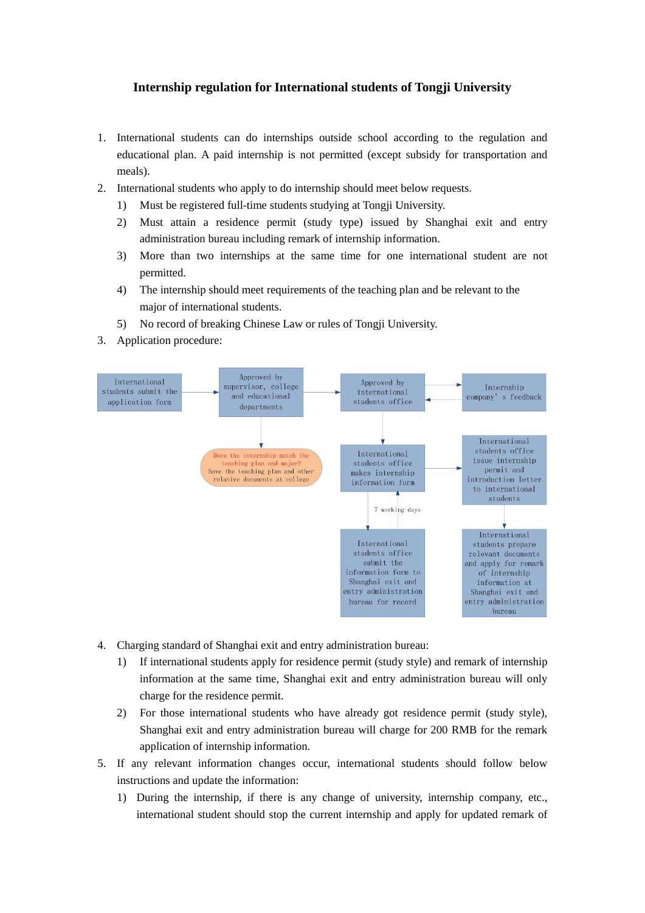## **Internship regulation for International students of Tongji University**

- 1. International students can do internships outside school according to the regulation and educational plan. A paid internship is not permitted (except subsidy for transportation and meals).
- 2. International students who apply to do internship should meet below requests.
	- 1) Must be registered full-time students studying at Tongji University.
	- 2) Must attain a residence permit (study type) issued by Shanghai exit and entry administration bureau including remark of internship information.
	- 3) More than two internships at the same time for one international student are not permitted.
	- 4) The internship should meet requirements of the teaching plan and be relevant to the major of international students.
	- 5) No record of breaking Chinese Law or rules of Tongji University.
- 3. Application procedure:



- 4. Charging standard of Shanghai exit and entry administration bureau:
	- 1) If international students apply for residence permit (study style) and remark of internship information at the same time, Shanghai exit and entry administration bureau will only charge for the residence permit.
	- 2) For those international students who have already got residence permit (study style), Shanghai exit and entry administration bureau will charge for 200 RMB for the remark application of internship information.
- 5. If any relevant information changes occur, international students should follow below instructions and update the information:
	- 1) During the internship, if there is any change of university, internship company, etc., international student should stop the current internship and apply for updated remark of